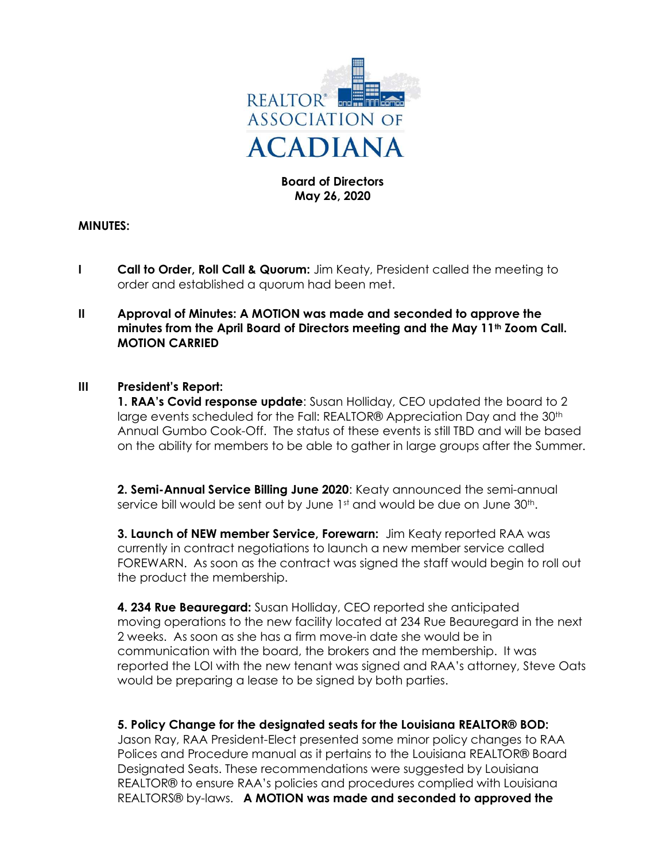

# Board of Directors May 26, 2020

### MINUTES:

- I Call to Order, Roll Call & Quorum: Jim Keaty, President called the meeting to order and established a quorum had been met.
- II Approval of Minutes: A MOTION was made and seconded to approve the minutes from the April Board of Directors meeting and the May 11<sup>th</sup> Zoom Call. MOTION CARRIED

#### III President's Report:

1. RAA's Covid response update: Susan Holliday, CEO updated the board to 2 large events scheduled for the Fall: REALTOR® Appreciation Day and the 30th Annual Gumbo Cook-Off. The status of these events is still TBD and will be based on the ability for members to be able to gather in large groups after the Summer.

2. Semi-Annual Service Billing June 2020: Keaty announced the semi-annual service bill would be sent out by June 1st and would be due on June 30th.

3. Launch of NEW member Service, Forewarn: Jim Keaty reported RAA was currently in contract negotiations to launch a new member service called FOREWARN. As soon as the contract was signed the staff would begin to roll out the product the membership.

 4. 234 Rue Beauregard: Susan Holliday, CEO reported she anticipated moving operations to the new facility located at 234 Rue Beauregard in the next 2 weeks. As soon as she has a firm move-in date she would be in communication with the board, the brokers and the membership. It was reported the LOI with the new tenant was signed and RAA's attorney, Steve Oats would be preparing a lease to be signed by both parties.

### 5. Policy Change for the designated seats for the Louisiana REALTOR® BOD:

 Jason Ray, RAA President-Elect presented some minor policy changes to RAA Polices and Procedure manual as it pertains to the Louisiana REALTOR® Board Designated Seats. These recommendations were suggested by Louisiana REALTOR® to ensure RAA's policies and procedures complied with Louisiana REALTORS® by-laws. A MOTION was made and seconded to approved the